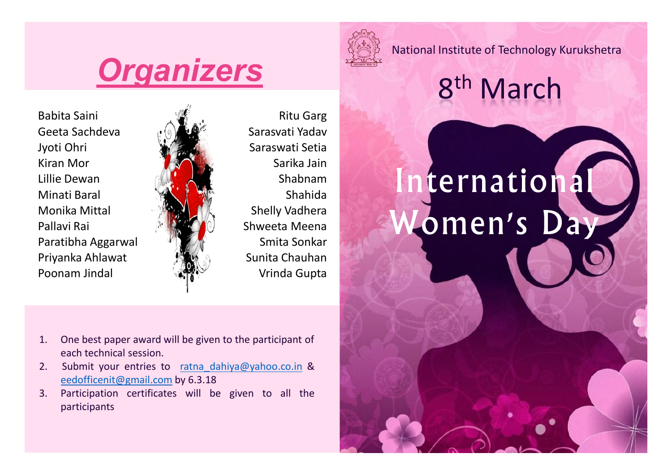## **Organizers**

Babita Saini Ritu Garg Geeta Sachdeva ( Geeta Sarasvati Yadav Jyoti Ohri Saraswati Setia Kiran Mor **Sarika Jaim** Sarika Jain Lillie Dewan Gold Mary Shabnam Minati Baral Shahida Shahida Shahida Shahida Shahida Shahida Shahida Shahida Shahida Shahida Shahida Shahida Shahida Shahida Shahida Shahida Shahida Shahida Shahida Shahida Shahida Shahida Shahida Shahida Shahida Shahida S Monika Mittal Shelly Vadhera Pallavi Rai Shaweeta Meena Paratibha Aggarwal Magamus Smita Sonkar Priyanka Ahlawat Sunita Chauhan Poonam Jindal Vrinda Gupta



- 1. One best paper award will be given to the participant of each technical session.
- 2. Submit your entries to ratna dahiya@yahoo.co.in & eedofficenit@gmail.com by 6.3.18
- 3. Participation certificates will be given to all the participants



National Institute of Technology Kurukshetra

## 8<sup>th</sup> March

# nternational Women's Day